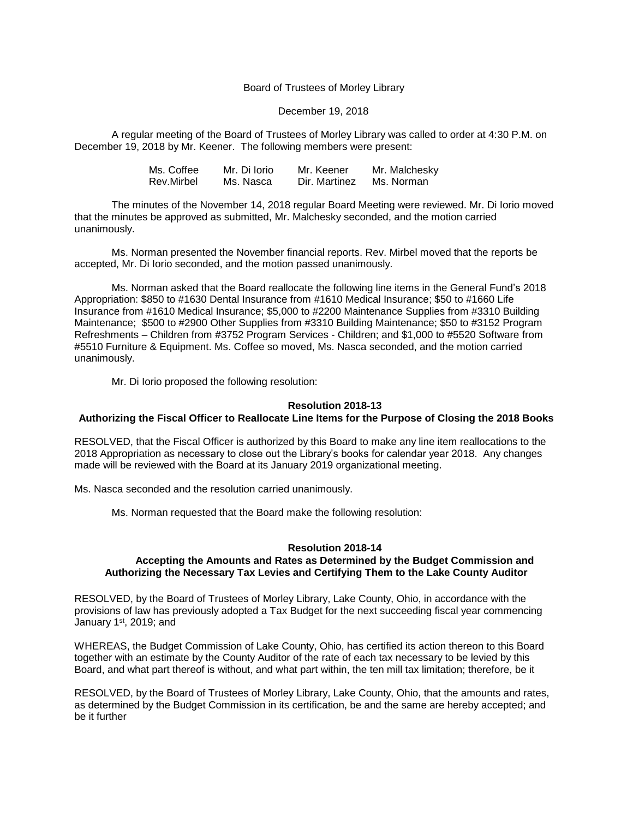## Board of Trustees of Morley Library

#### December 19, 2018

A regular meeting of the Board of Trustees of Morley Library was called to order at 4:30 P.M. on December 19, 2018 by Mr. Keener. The following members were present:

| Ms. Coffee | Mr. Di Iorio | Mr. Keener    | Mr. Malchesky |
|------------|--------------|---------------|---------------|
| Rev.Mirbel | Ms. Nasca    | Dir. Martinez | Ms. Norman    |

The minutes of the November 14, 2018 regular Board Meeting were reviewed. Mr. Di Iorio moved that the minutes be approved as submitted, Mr. Malchesky seconded, and the motion carried unanimously.

Ms. Norman presented the November financial reports. Rev. Mirbel moved that the reports be accepted, Mr. Di Iorio seconded, and the motion passed unanimously.

Ms. Norman asked that the Board reallocate the following line items in the General Fund's 2018 Appropriation: \$850 to #1630 Dental Insurance from #1610 Medical Insurance; \$50 to #1660 Life Insurance from #1610 Medical Insurance; \$5,000 to #2200 Maintenance Supplies from #3310 Building Maintenance; \$500 to #2900 Other Supplies from #3310 Building Maintenance; \$50 to #3152 Program Refreshments – Children from #3752 Program Services - Children; and \$1,000 to #5520 Software from #5510 Furniture & Equipment. Ms. Coffee so moved, Ms. Nasca seconded, and the motion carried unanimously.

Mr. Di Iorio proposed the following resolution:

### **Resolution 2018-13**

## **Authorizing the Fiscal Officer to Reallocate Line Items for the Purpose of Closing the 2018 Books**

RESOLVED, that the Fiscal Officer is authorized by this Board to make any line item reallocations to the 2018 Appropriation as necessary to close out the Library's books for calendar year 2018. Any changes made will be reviewed with the Board at its January 2019 organizational meeting.

Ms. Nasca seconded and the resolution carried unanimously.

Ms. Norman requested that the Board make the following resolution:

#### **Resolution 2018-14**

## **Accepting the Amounts and Rates as Determined by the Budget Commission and Authorizing the Necessary Tax Levies and Certifying Them to the Lake County Auditor**

RESOLVED, by the Board of Trustees of Morley Library, Lake County, Ohio, in accordance with the provisions of law has previously adopted a Tax Budget for the next succeeding fiscal year commencing January 1<sup>st</sup>, 2019; and

WHEREAS, the Budget Commission of Lake County, Ohio, has certified its action thereon to this Board together with an estimate by the County Auditor of the rate of each tax necessary to be levied by this Board, and what part thereof is without, and what part within, the ten mill tax limitation; therefore, be it

RESOLVED, by the Board of Trustees of Morley Library, Lake County, Ohio, that the amounts and rates, as determined by the Budget Commission in its certification, be and the same are hereby accepted; and be it further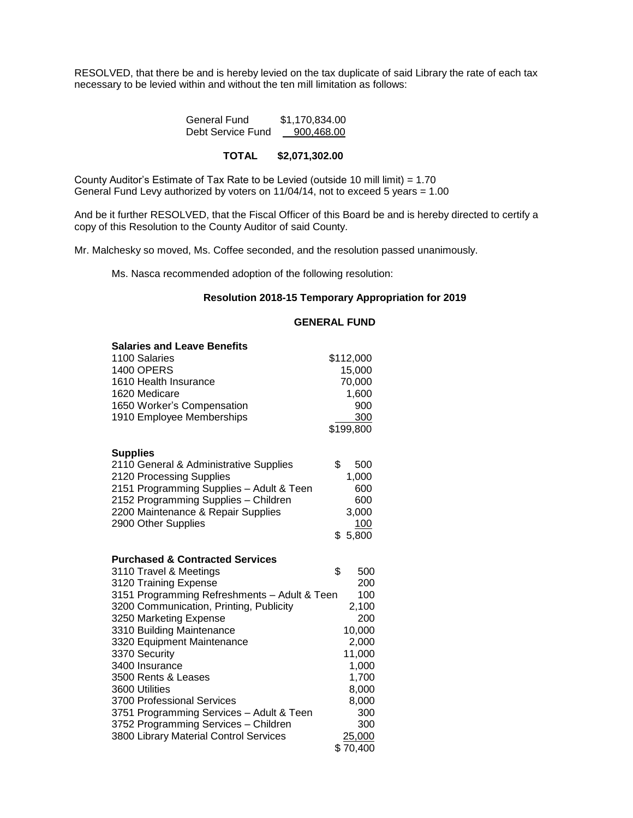RESOLVED, that there be and is hereby levied on the tax duplicate of said Library the rate of each tax necessary to be levied within and without the ten mill limitation as follows:

| General Fund      | \$1,170,834.00 |  |
|-------------------|----------------|--|
| Debt Service Fund | 900,468.00     |  |

# **TOTAL \$2,071,302.00**

County Auditor's Estimate of Tax Rate to be Levied (outside 10 mill limit) = 1.70 General Fund Levy authorized by voters on 11/04/14, not to exceed 5 years = 1.00

And be it further RESOLVED, that the Fiscal Officer of this Board be and is hereby directed to certify a copy of this Resolution to the County Auditor of said County.

Mr. Malchesky so moved, Ms. Coffee seconded, and the resolution passed unanimously.

Ms. Nasca recommended adoption of the following resolution:

# **Resolution 2018-15 Temporary Appropriation for 2019**

| <b>Salaries and Leave Benefits</b>           |           |
|----------------------------------------------|-----------|
| 1100 Salaries                                | \$112,000 |
| 1400 OPERS                                   | 15,000    |
| 1610 Health Insurance                        | 70,000    |
| 1620 Medicare                                | 1,600     |
| 1650 Worker's Compensation                   | 900       |
| 1910 Employee Memberships                    | 300       |
|                                              | \$199,800 |
| <b>Supplies</b>                              |           |
| 2110 General & Administrative Supplies       | \$<br>500 |
| 2120 Processing Supplies                     | 1,000     |
| 2151 Programming Supplies - Adult & Teen     | 600       |
| 2152 Programming Supplies - Children         | 600       |
| 2200 Maintenance & Repair Supplies           | 3,000     |
| 2900 Other Supplies                          | 100       |
|                                              | \$5,800   |
|                                              |           |
| <b>Purchased &amp; Contracted Services</b>   |           |
| 3110 Travel & Meetings                       | \$<br>500 |
| 3120 Training Expense                        | 200       |
| 3151 Programming Refreshments - Adult & Teen | 100       |
| 3200 Communication, Printing, Publicity      | 2,100     |
| 3250 Marketing Expense                       | 200       |
| 3310 Building Maintenance                    | 10,000    |
| 3320 Equipment Maintenance                   | 2,000     |
| 3370 Security                                | 11,000    |
| 3400 Insurance                               | 1,000     |
| 3500 Rents & Leases                          | 1,700     |
| 3600 Utilities                               | 8,000     |
| 3700 Professional Services                   | 8,000     |
| 3751 Programming Services - Adult & Teen     | 300       |
| 3752 Programming Services - Children         | 300       |
| 3800 Library Material Control Services       | 25,000    |
|                                              | \$70,400  |

### **GENERAL FUND**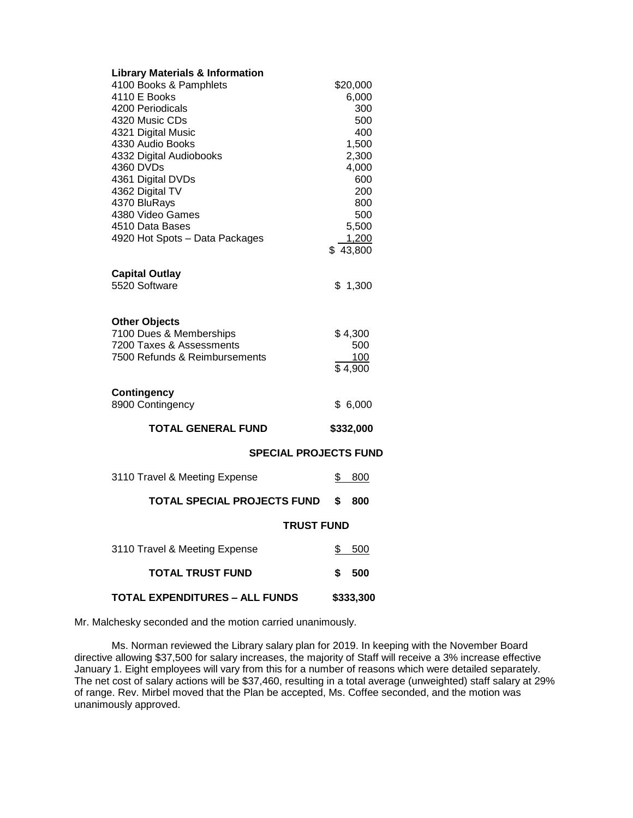| <b>Library Materials &amp; Information</b><br>4100 Books & Pamphlets<br>4110 E Books<br>4200 Periodicals<br>4320 Music CDs<br>4321 Digital Music<br>4330 Audio Books<br>4332 Digital Audiobooks<br>4360 DVDs<br>4361 Digital DVDs<br>4362 Digital TV<br>4370 BluRays<br>4380 Video Games<br>4510 Data Bases<br>4920 Hot Spots - Data Packages | \$20,000<br>6,000<br>300<br>500<br>400<br>1,500<br>2,300<br>4,000<br>600<br>200<br>800<br>500<br>5,500<br>1,200<br>\$43,800 |  |
|-----------------------------------------------------------------------------------------------------------------------------------------------------------------------------------------------------------------------------------------------------------------------------------------------------------------------------------------------|-----------------------------------------------------------------------------------------------------------------------------|--|
| <b>Capital Outlay</b><br>5520 Software                                                                                                                                                                                                                                                                                                        | \$1,300                                                                                                                     |  |
| <b>Other Objects</b><br>7100 Dues & Memberships<br>7200 Taxes & Assessments<br>7500 Refunds & Reimbursements                                                                                                                                                                                                                                  | \$4,300<br>500<br>100<br>\$4,900                                                                                            |  |
| Contingency<br>8900 Contingency                                                                                                                                                                                                                                                                                                               | \$6,000                                                                                                                     |  |
| <b>TOTAL GENERAL FUND</b>                                                                                                                                                                                                                                                                                                                     | \$332,000                                                                                                                   |  |
| <b>SPECIAL PROJECTS FUND</b>                                                                                                                                                                                                                                                                                                                  |                                                                                                                             |  |
| 3110 Travel & Meeting Expense                                                                                                                                                                                                                                                                                                                 | \$<br>800                                                                                                                   |  |
| TOTAL SPECIAL PROJECTS FUND                                                                                                                                                                                                                                                                                                                   | \$<br>800                                                                                                                   |  |
| <b>TRUST FUND</b>                                                                                                                                                                                                                                                                                                                             |                                                                                                                             |  |
| 3110 Travel & Meeting Expense                                                                                                                                                                                                                                                                                                                 | S.<br><u>500</u>                                                                                                            |  |
| <b>TOTAL TRUST FUND</b>                                                                                                                                                                                                                                                                                                                       | \$<br>500                                                                                                                   |  |
| <b>TOTAL EXPENDITURES - ALL FUNDS</b>                                                                                                                                                                                                                                                                                                         | \$333,300                                                                                                                   |  |

Mr. Malchesky seconded and the motion carried unanimously.

Ms. Norman reviewed the Library salary plan for 2019. In keeping with the November Board directive allowing \$37,500 for salary increases, the majority of Staff will receive a 3% increase effective January 1. Eight employees will vary from this for a number of reasons which were detailed separately. The net cost of salary actions will be \$37,460, resulting in a total average (unweighted) staff salary at 29% of range. Rev. Mirbel moved that the Plan be accepted, Ms. Coffee seconded, and the motion was unanimously approved.